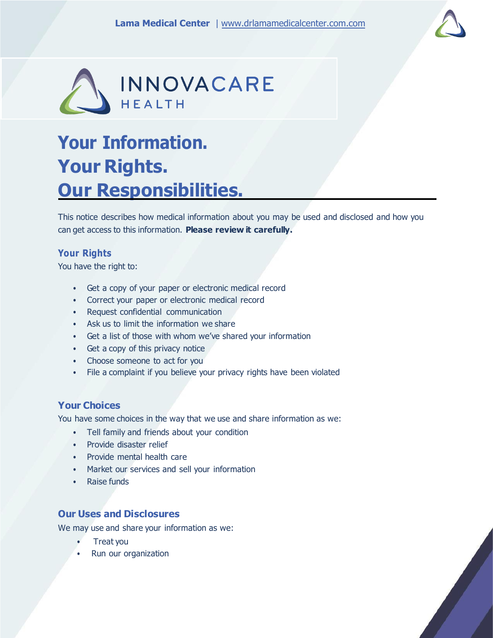



# **Your Information. Your Rights. Our Responsibilities.**

This notice describes how medical information about you may be used and disclosed and how you can get access to this information. **Please review it carefully.**

# **Your Rights**

You have the right to:

- Get a copy of your paper or electronic medical record
- Correct your paper or electronic medical record
- Request confidential communication
- Ask us to limit the information we share
- Get a list of those with whom we've shared your information
- Get a copy of this privacy notice
- Choose someone to act for you
- File a complaint if you believe your privacy rights have been violated

# **Your Choices**

You have some choices in the way that we use and share information as we:

- Tell family and friends about your condition
- Provide disaster relief
- Provide mental health care
- Market our services and sell your information
- Raise funds

# **Our Uses and Disclosures**

We may use and share your information as we:

- Treat you
- Run our organization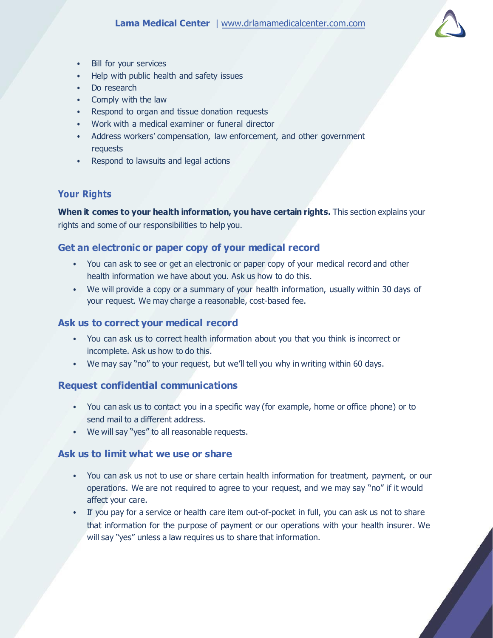

- Bill for your services
- Help with public health and safety issues
- Do research
- Comply with the law
- Respond to organ and tissue donation requests
- Work with a medical examiner or funeral director
- Address workers' compensation, law enforcement, and other government requests
- Respond to lawsuits and legal actions

# **Your Rights**

**When it comes to your health information, you have certain rights.** This section explains your rights and some of our responsibilities to help you.

# **Get an electronic or paper copy of your medical record**

- You can ask to see or get an electronic or paper copy of your medical record and other health information we have about you. Ask us how to do this.
- We will provide a copy or a summary of your health information, usually within 30 days of your request. We may charge a reasonable, cost-based fee.

# **Ask us to correct your medical record**

- You can ask us to correct health information about you that you think is incorrect or incomplete. Ask us how to do this.
- We may say "no" to your request, but we'll tell you why in writing within 60 days.

# **Request confidential communications**

- You can ask us to contact you in a specific way (for example, home or office phone) or to send mail to a different address.
- We will say "yes" to all reasonable requests.

# **Ask us to limit what we use or share**

- You can ask us not to use or share certain health information for treatment, payment, or our operations. We are not required to agree to your request, and we may say "no" if it would affect your care.
- If you pay for a service or health care item out-of-pocket in full, you can ask us not to share that information for the purpose of payment or our operations with your health insurer. We will say "yes" unless a law requires us to share that information.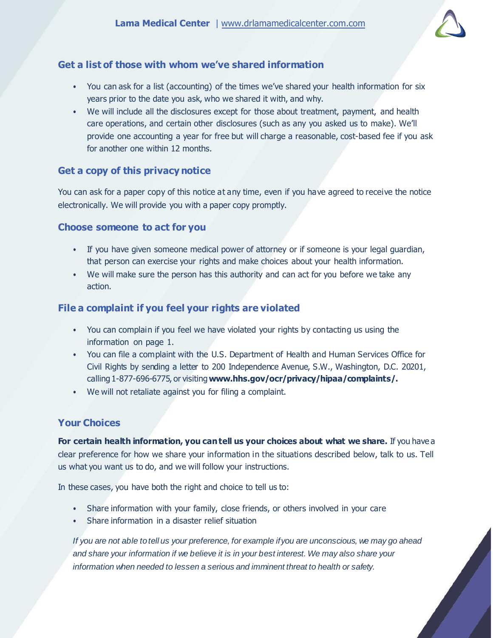

# **Get a list of those with whom we've shared information**

- You can ask for a list (accounting) of the times we've shared your health information for six years prior to the date you ask, who we shared it with, and why.
- We will include all the disclosures except for those about treatment, payment, and health care operations, and certain other disclosures (such as any you asked us to make). We'll provide one accounting a year for free but will charge a reasonable, cost-based fee if you ask for another one within 12 months.

# **Get a copy of this privacy notice**

You can ask for a paper copy of this notice at any time, even if you have agreed to receive the notice electronically. We will provide you with a paper copy promptly.

## **Choose someone to act for you**

- If you have given someone medical power of attorney or if someone is your legal guardian, that person can exercise your rights and make choices about your health information.
- We will make sure the person has this authority and can act for you before we take any action.

## **File a complaint if you feel your rights are violated**

- You can complain if you feel we have violated your rights by contacting us using the information on page 1.
- You can file a complaint with the U.S. Department of Health and Human Services Office for Civil Rights by sending a letter to 200 Independence Avenue, S.W., Washington, D.C. 20201, calling 1-877-696-6775, or visiting**[www.hhs.gov/ocr/privacy/hipaa/complaints/.](http://www.hhs.gov/ocr/privacy/hipaa/complaints/)**
- We will not retaliate against you for filing a complaint.

# **Your Choices**

**For certain health information, you cantell us your choices about what we share.** If you have a clear preference for how we share your information in the situations described below, talk to us. Tell us what you want us to do, and we will follow your instructions.

In these cases, you have both the right and choice to tell us to:

- Share information with your family, close friends, or others involved in your care
- Share information in a disaster relief situation

*If you are not able totell us your preference, for example ifyou are unconscious, we may go ahead and share your information if we believe it is in your best interest. We may also share your information when needed to lessen a serious and imminent threat to health or safety.*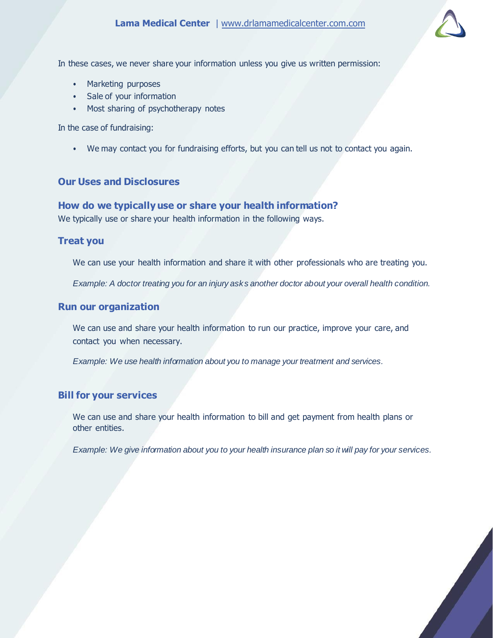

In these cases, we never share your information unless you give us written permission:

- Marketing purposes
- Sale of your information
- Most sharing of psychotherapy notes

In the case of fundraising:

• We may contact you for fundraising efforts, but you can tell us not to contact you again.

# **Our Uses and Disclosures**

#### **How do we typically use or share your health information?**

We typically use or share your health information in the following ways.

#### **Treat you**

We can use your health information and share it with other professionals who are treating you.

*Example: A doctor treating you for an injury asks another doctor about your overall health condition.*

#### **Run our organization**

We can use and share your health information to run our practice, improve your care, and contact you when necessary.

*Example: We use health information about you to manage your treatment and services.*

# **Bill for your services**

We can use and share your health information to bill and get payment from health plans or other entities.

Example: We give information about you to your health insurance plan so it will pay for your services.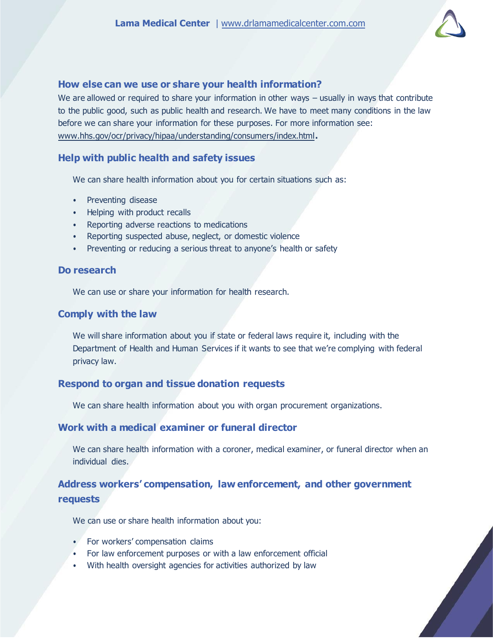

#### **How else can we use or share your health information?**

We are allowed or required to share your information in other ways – usually in ways that contribute to the public good, such as public health and research. We have to meet many conditions in the law before we can share your information for these purposes. For more information see: [www.hhs.gov/ocr/privacy/hipaa/understanding/consumers/index.html](http://www.hhs.gov/ocr/privacy/hipaa/understanding/consumers/index.html)**.**

#### **Help with public health and safety issues**

We can share health information about you for certain situations such as:

- Preventing disease
- Helping with product recalls
- Reporting adverse reactions to medications
- Reporting suspected abuse, neglect, or domestic violence
- Preventing or reducing a serious threat to anyone's health or safety

#### **Do research**

We can use or share your information for health research.

#### **Comply with the law**

We will share information about you if state or federal laws require it, including with the Department of Health and Human Services if it wants to see that we're complying with federal privacy law.

#### **Respond to organ and tissue donation requests**

We can share health information about you with organ procurement organizations.

## **Work with a medical examiner or funeral director**

We can share health information with a coroner, medical examiner, or funeral director when an individual dies.

# **Address workers' compensation, law enforcement, and other government requests**

We can use or share health information about you:

- For workers' compensation claims
- For law enforcement purposes or with a law enforcement official
- With health oversight agencies for activities authorized by law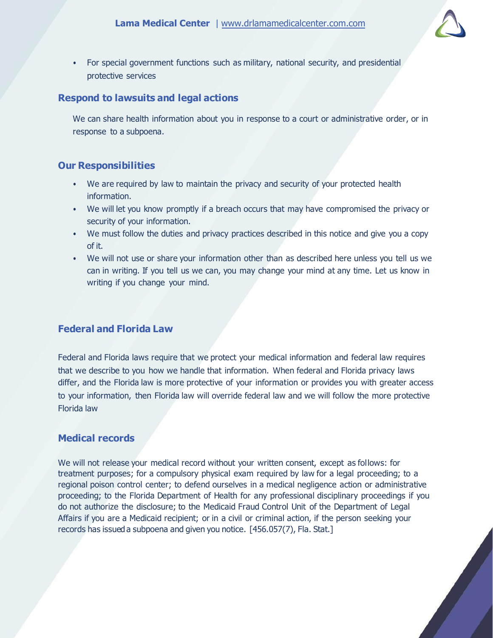

• For special government functions such as military, national security, and presidential protective services

## **Respond to lawsuits and legal actions**

We can share health information about you in response to a court or administrative order, or in response to a subpoena.

# **Our Responsibilities**

- We are required by law to maintain the privacy and security of your protected health information.
- We will let you know promptly if a breach occurs that may have compromised the privacy or security of your information.
- We must follow the duties and privacy practices described in this notice and give you a copy of it.
- We will not use or share your information other than as described here unless you tell us we can in writing. If you tell us we can, you may change your mind at any time. Let us know in writing if you change your mind.

# **Federal and Florida Law**

Federal and Florida laws require that we protect your medical information and federal law requires that we describe to you how we handle that information. When federal and Florida privacy laws differ, and the Florida law is more protective of your information or provides you with greater access to your information, then Florida law will override federal law and we will follow the more protective Florida law

# **Medical records**

We will not release your medical record without your written consent, except as follows: for treatment purposes; for a compulsory physical exam required by law for a legal proceeding; to a regional poison control center; to defend ourselves in a medical negligence action or administrative proceeding; to the Florida Department of Health for any professional disciplinary proceedings if you do not authorize the disclosure; to the Medicaid Fraud Control Unit of the Department of Legal Affairs if you are a Medicaid recipient; or in a civil or criminal action, if the person seeking your records has issued a subpoena and given you notice. [456.057(7), Fla. Stat.]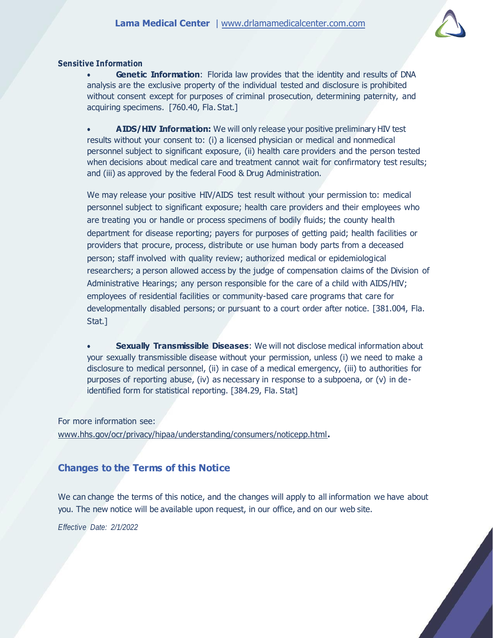

#### **Sensitive Information**

**Genetic Information:** Florida law provides that the identity and results of DNA analysis are the exclusive property of the individual tested and disclosure is prohibited without consent except for purposes of criminal prosecution, determining paternity, and acquiring specimens. [760.40, Fla. Stat.]

 **AIDS/HIV Information:** We will only release your positive preliminary HIV test results without your consent to: (i) a licensed physician or medical and nonmedical personnel subject to significant exposure, (ii) health care providers and the person tested when decisions about medical care and treatment cannot wait for confirmatory test results; and (iii) as approved by the federal Food & Drug Administration.

We may release your positive HIV/AIDS test result without your permission to: medical personnel subject to significant exposure; health care providers and their employees who are treating you or handle or process specimens of bodily fluids; the county health department for disease reporting; payers for purposes of getting paid; health facilities or providers that procure, process, distribute or use human body parts from a deceased person; staff involved with quality review; authorized medical or epidemiological researchers; a person allowed access by the judge of compensation claims of the Division of Administrative Hearings; any person responsible for the care of a child with AIDS/HIV; employees of residential facilities or community-based care programs that care for developmentally disabled persons; or pursuant to a court order after notice. [381.004, Fla. Stat.]

 **Sexually Transmissible Diseases**: We will not disclose medical information about your sexually transmissible disease without your permission, unless (i) we need to make a disclosure to medical personnel, (ii) in case of a medical emergency, (iii) to authorities for purposes of reporting abuse, (iv) as necessary in response to a subpoena, or (v) in deidentified form for statistical reporting. [384.29, Fla. Stat]

For more information see: [www.hhs.gov/ocr/privacy/hipaa/understanding/consumers/noticepp.html](http://www.hhs.gov/ocr/privacy/hipaa/understanding/consumers/noticepp.html)**.**

# **Changes to the Terms of this Notice**

We can change the terms of this notice, and the changes will apply to all information we have about you. The new notice will be available upon request, in our office, and on our web site.

*Effective Date: 2/1/2022*